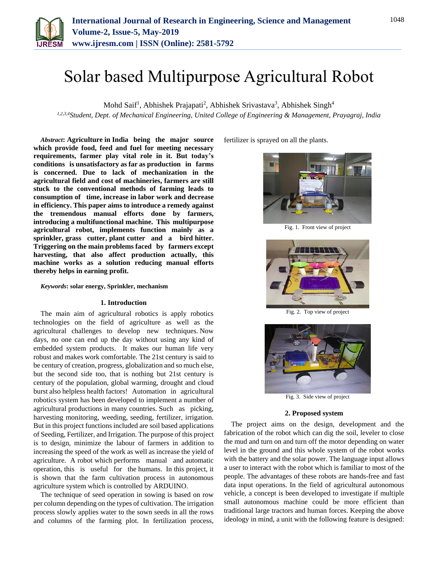

# Solar based Multipurpose Agricultural Robot

Mohd Saif<sup>1</sup>, Abhishek Prajapati<sup>2</sup>, Abhishek Srivastava<sup>3</sup>, Abhishek Singh<sup>4</sup>

*1,2,3,4Student, Dept. of Mechanical Engineering, United College of Engineering & Management, Prayagraj, India*

*Abstract***: Agriculture in India being the major source which provide food, feed and fuel for meeting necessary requirements, farmer play vital role in it. But today's conditions is unsatisfactory as far as production in farms is concerned. Due to lack of mechanization in the agricultural field and cost of machineries, farmers are still stuck to the conventional methods of farming leads to consumption of time, increase in labor work and decrease in efficiency. This paper aims to introduce a remedy against the tremendous manual efforts done by farmers, introducing a multifunctional machine. This multipurpose agricultural robot, implements function mainly as a sprinkler, grass cutter, plant cutter and a bird hitter. Triggering on the main problems faced by farmers except harvesting, that also affect production actually, this machine works as a solution reducing manual efforts thereby helps in earning profit.**

*Keywords***: solar energy, Sprinkler, mechanism**

#### **1. Introduction**

The main aim of agricultural robotics is apply robotics technologies on the field of agriculture as well as the agricultural challenges to develop new techniques. Now days, no one can end up the day without using any kind of embedded system products. It makes our human life very robust and makes work comfortable. The 21st century is said to be century of creation, progress, globalization and so much else, but the second side too, that is nothing but 21st century is century of the population, global warming, drought and cloud burst also helpless health factors! Automation in agricultural robotics system has been developed to implement a number of agricultural productions in many countries. Such as picking, harvesting monitoring, weeding, seeding, fertilizer, irrigation. But in this project functions included are soil based applications of Seeding, Fertilizer, and Irrigation. The purpose of this project is to design, minimize the labour of farmers in addition to increasing the speed of the work as well as increase the yield of agriculture. A robot which performs manual and automatic operation, this is useful for the humans. In this project, it is shown that the farm cultivation process in autonomous agriculture system which is controlled by ARDUINO.

The technique of seed operation in sowing is based on row per column depending on the types of cultivation. The irrigation process slowly applies water to the sown seeds in all the rows and columns of the farming plot. In fertilization process, fertilizer is sprayed on all the plants.



Fig. 1. Front view of project



Fig. 2. Top view of project



Fig. 3. Side view of project

#### **2. Proposed system**

The project aims on the design, development and the fabrication of the robot which can dig the soil, leveler to close the mud and turn on and turn off the motor depending on water level in the ground and this whole system of the robot works with the battery and the solar power. The language input allows a user to interact with the robot which is familiar to most of the people. The advantages of these robots are hands-free and fast data input operations. In the field of agricultural autonomous vehicle, a concept is been developed to investigate if multiple small autonomous machine could be more efficient than traditional large tractors and human forces. Keeping the above ideology in mind, a unit with the following feature is designed: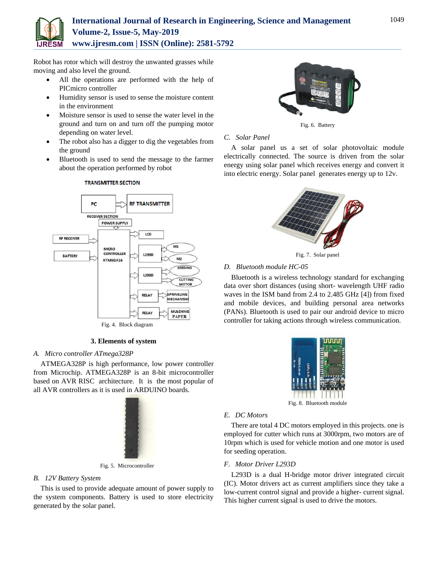

# **International Journal of Research in Engineering, Science and Management Volume-2, Issue-5, May-2019 www.ijresm.com | ISSN (Online): 2581-5792**

Robot has rotor which will destroy the unwanted grasses while moving and also level the ground.

- All the operations are performed with the help of PICmicro controller
- Humidity sensor is used to sense the moisture content in the environment
- Moisture sensor is used to sense the water level in the ground and turn on and turn off the pumping motor depending on water level.
- The robot also has a digger to dig the vegetables from the ground
- Bluetooth is used to send the message to the farmer about the operation performed by robot



# **TRANSMITTER SECTION**

#### **3. Elements of system**

# *A. Micro controller ATmega328P*

ATMEGA328P is high performance, low power controller from Microchip. ATMEGA328P is an 8-bit microcontroller based on AVR RISC architecture. It is the most popular of all AVR controllers as it is used in ARDUINO boards.



Fig. 5. Microcontroller

# *B. 12V Battery System*

This is used to provide adequate amount of power supply to the system components. Battery is used to store electricity generated by the solar panel.



Fig. 6. Battery

# *C. Solar Panel*

A solar panel us a set of solar photovoltaic module electrically connected. The source is driven from the solar energy using solar panel which receives energy and convert it into electric energy. Solar panel generates energy up to 12v.





# *D. Bluetooth module HC-05*

Bluetooth is a wireless technology standard for exchanging data over short distances (using short- wavelength UHF radio waves in the ISM band from 2.4 to 2.485 GHz [4]) from fixed and mobile devices, and building personal area networks (PANs). Bluetooth is used to pair our android device to micro controller for taking actions through wireless communication.



#### *E. DC Motors*

There are total 4 DC motors employed in this projects. one is employed for cutter which runs at 3000rpm, two motors are of 10rpm which is used for vehicle motion and one motor is used for seeding operation.

# *F. Motor Driver L293D*

L293D is a dual H-bridge motor driver integrated circuit (IC). Motor drivers act as current amplifiers since they take a low-current control signal and provide a higher- current signal. This higher current signal is used to drive the motors.